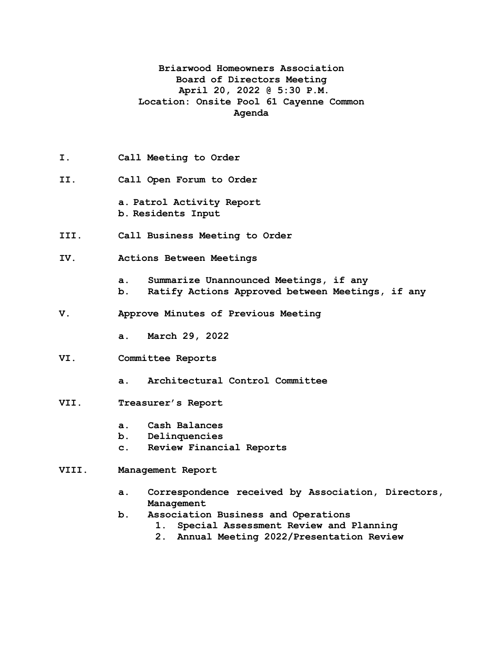## **Briarwood Homeowners Association Board of Directors Meeting April 20, 2022 @ 5:30 P.M. Location: Onsite Pool 61 Cayenne Common Agenda**

- **I. Call Meeting to Order**
- **II. Call Open Forum to Order**
	- **a. Patrol Activity Report b. Residents Input**
- **III. Call Business Meeting to Order**
- **IV. Actions Between Meetings**
	- **a. Summarize Unannounced Meetings, if any**
	- **b. Ratify Actions Approved between Meetings, if any**
- **V. Approve Minutes of Previous Meeting**
	- **a. March 29, 2022**
- **VI. Committee Reports**
	- **a. Architectural Control Committee**
- **VII. Treasurer's Report**
	- **a. Cash Balances**
	- **b. Delinquencies**
	- **c. Review Financial Reports**
- **VIII. Management Report**
	- **a. Correspondence received by Association, Directors, Management**
	- **b. Association Business and Operations**
		- **1. Special Assessment Review and Planning**
		- **2. Annual Meeting 2022/Presentation Review**